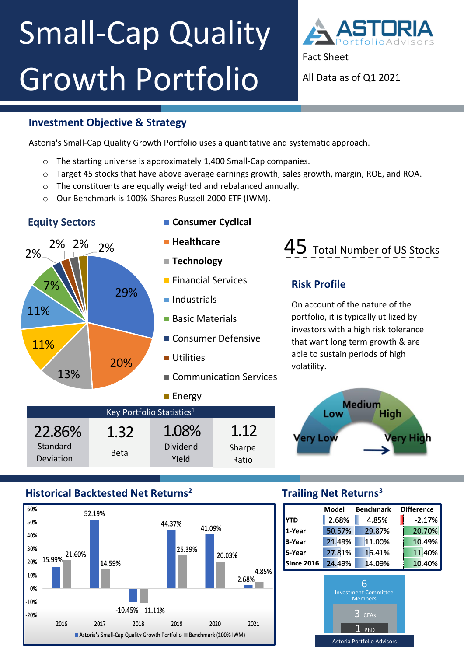# ` Small-Cap Quality Growth Portfolio



Astoria's Small-Cap Quality Growth Portfolio uses a quantitative and systematic approach.

- o The starting universe is approximately 1,400 Small-Cap companies.
- o Target 45 stocks that have above average earnings growth, sales growth, margin, ROE, and ROA.
- o The constituents are equally weighted and rebalanced annually.
- o Our Benchmark is 100% iShares Russell 2000 ETF (IWM).

### **Equity Sectors CONSUMER CYCLICAL**



## 45 Total Number of US Stocks

### **Risk Profile**

On account of the nature of the portfolio, it is typically utilized by investors with a high risk tolerance that want long term growth & are able to sustain periods of high volatility.



#### **Historical Backtested Net Returns<sup>2</sup>**



#### **Trailing Net Returns<sup>3</sup>**

|                                   | Model                                                                    | <b>Benchmark</b> | <b>Difference</b> |
|-----------------------------------|--------------------------------------------------------------------------|------------------|-------------------|
| YTD                               | 2.68%                                                                    | 4.85%            | $-2.17%$          |
| 1-Year                            | 50.57%                                                                   | 29.87%           | 20.70%            |
| 3-Year                            | 21.49%                                                                   | 11.00%           | 10.49%            |
| 5-Year                            | 27.81%                                                                   | 16.41%           | 11.40%            |
| <b>Since 2016</b>                 | 24.49%                                                                   | 14.09%           | 10.40%            |
|                                   | 6<br><b>Investment Committee</b><br><b>Members</b><br><b>CFAs</b><br>PhD |                  |                   |
| <b>Astoria Portfolio Advisors</b> |                                                                          |                  |                   |



Fact Sheet

All Data as of Q1 2021